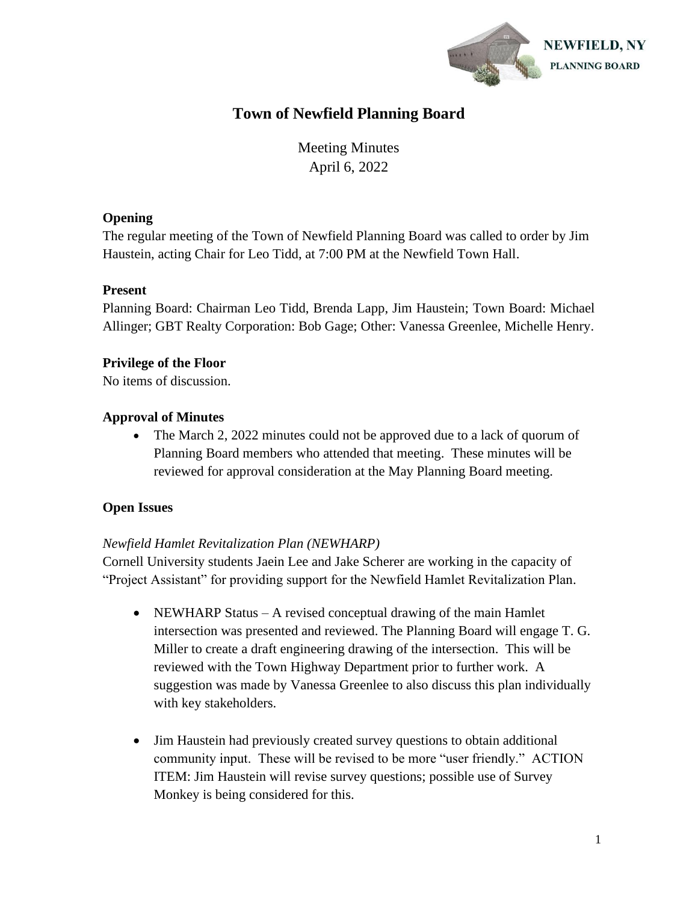

# **Town of Newfield Planning Board**

Meeting Minutes April 6, 2022

#### **Opening**

The regular meeting of the Town of Newfield Planning Board was called to order by Jim Haustein, acting Chair for Leo Tidd, at 7:00 PM at the Newfield Town Hall.

### **Present**

Planning Board: Chairman Leo Tidd, Brenda Lapp, Jim Haustein; Town Board: Michael Allinger; GBT Realty Corporation: Bob Gage; Other: Vanessa Greenlee, Michelle Henry.

## **Privilege of the Floor**

No items of discussion.

## **Approval of Minutes**

• The March 2, 2022 minutes could not be approved due to a lack of quorum of Planning Board members who attended that meeting. These minutes will be reviewed for approval consideration at the May Planning Board meeting.

## **Open Issues**

#### *Newfield Hamlet Revitalization Plan (NEWHARP)*

Cornell University students Jaein Lee and Jake Scherer are working in the capacity of "Project Assistant" for providing support for the Newfield Hamlet Revitalization Plan.

- NEWHARP Status A revised conceptual drawing of the main Hamlet intersection was presented and reviewed. The Planning Board will engage T. G. Miller to create a draft engineering drawing of the intersection. This will be reviewed with the Town Highway Department prior to further work. A suggestion was made by Vanessa Greenlee to also discuss this plan individually with key stakeholders.
- Jim Haustein had previously created survey questions to obtain additional community input. These will be revised to be more "user friendly." ACTION ITEM: Jim Haustein will revise survey questions; possible use of Survey Monkey is being considered for this.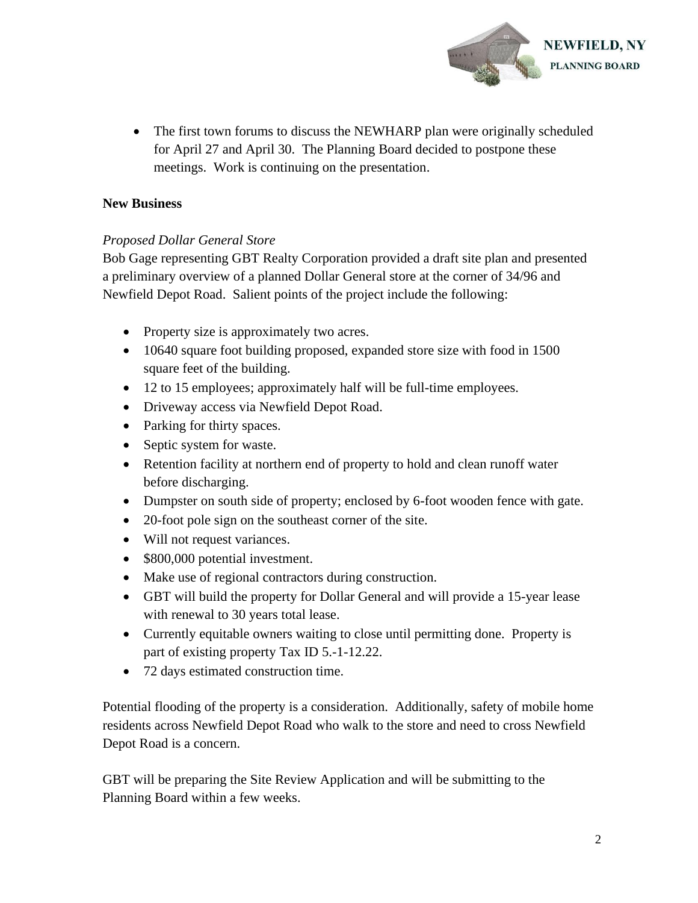

• The first town forums to discuss the NEWHARP plan were originally scheduled for April 27 and April 30. The Planning Board decided to postpone these meetings. Work is continuing on the presentation.

#### **New Business**

#### *Proposed Dollar General Store*

Bob Gage representing GBT Realty Corporation provided a draft site plan and presented a preliminary overview of a planned Dollar General store at the corner of 34/96 and Newfield Depot Road. Salient points of the project include the following:

- Property size is approximately two acres.
- 10640 square foot building proposed, expanded store size with food in 1500 square feet of the building.
- 12 to 15 employees; approximately half will be full-time employees.
- Driveway access via Newfield Depot Road.
- Parking for thirty spaces.
- Septic system for waste.
- Retention facility at northern end of property to hold and clean runoff water before discharging.
- Dumpster on south side of property; enclosed by 6-foot wooden fence with gate.
- 20-foot pole sign on the southeast corner of the site.
- Will not request variances.
- \$800,000 potential investment.
- Make use of regional contractors during construction.
- GBT will build the property for Dollar General and will provide a 15-year lease with renewal to 30 years total lease.
- Currently equitable owners waiting to close until permitting done. Property is part of existing property Tax ID 5.-1-12.22.
- 72 days estimated construction time.

Potential flooding of the property is a consideration. Additionally, safety of mobile home residents across Newfield Depot Road who walk to the store and need to cross Newfield Depot Road is a concern.

GBT will be preparing the Site Review Application and will be submitting to the Planning Board within a few weeks.